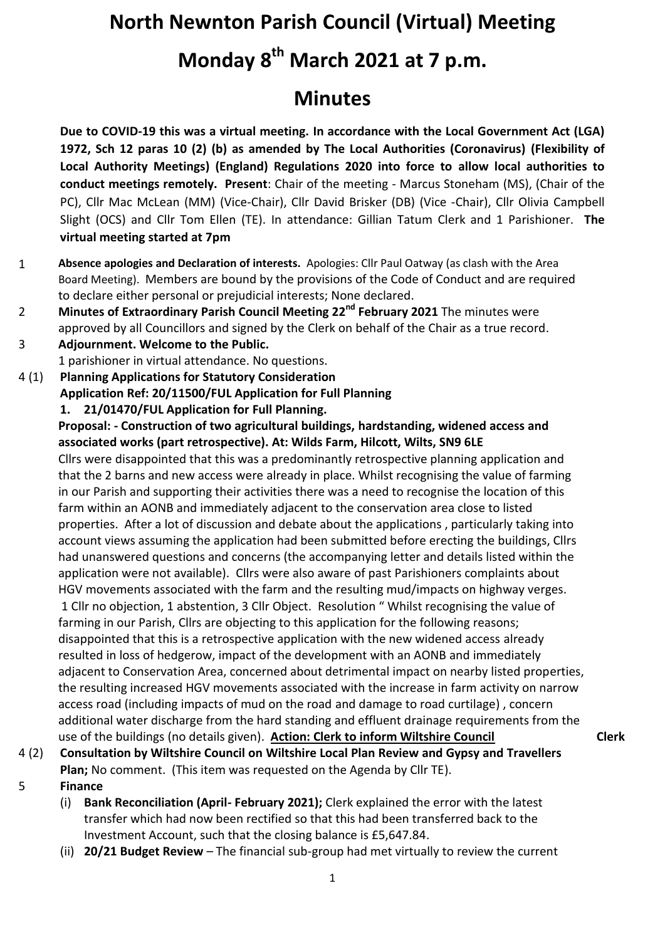# **North Newnton Parish Council (Virtual) Meeting Monday 8 th March 2021 at 7 p.m.**

## **Minutes**

**Due to COVID-19 this was a virtual meeting. In accordance with the Local Government Act (LGA) 1972, Sch 12 paras 10 (2) (b) as amended by The Local Authorities (Coronavirus) (Flexibility of Local Authority Meetings) (England) Regulations 2020 into force to allow local authorities to conduct meetings remotely. Present**: Chair of the meeting - Marcus Stoneham (MS), (Chair of the PC), Cllr Mac McLean (MM) (Vice-Chair), Cllr David Brisker (DB) (Vice -Chair), Cllr Olivia Campbell Slight (OCS) and Cllr Tom Ellen (TE). In attendance: Gillian Tatum Clerk and 1 Parishioner. **The virtual meeting started at 7pm**

- 1 **Absence apologies and Declaration of interests.** Apologies: Cllr Paul Oatway (as clash with the Area Board Meeting). Members are bound by the provisions of the Code of Conduct and are required to declare either personal or prejudicial interests; None declared.
- 2 **Minutes of Extraordinary Parish Council Meeting 22nd February 2021** The minutes were approved by all Councillors and signed by the Clerk on behalf of the Chair as a true record.

3 **Adjournment. Welcome to the Public.** 1 parishioner in virtual attendance. No questions.

4 (1) **Planning Applications for Statutory Consideration**

**Application Ref: 20/11500/FUL Application for Full Planning**

**1. 21/01470/FUL Application for Full Planning.** 

**Proposal: - Construction of two agricultural buildings, hardstanding, widened access and associated works (part retrospective). At: Wilds Farm, Hilcott, Wilts, SN9 6LE**

Cllrs were disappointed that this was a predominantly retrospective planning application and that the 2 barns and new access were already in place. Whilst recognising the value of farming in our Parish and supporting their activities there was a need to recognise the location of this farm within an AONB and immediately adjacent to the conservation area close to listed properties. After a lot of discussion and debate about the applications , particularly taking into account views assuming the application had been submitted before erecting the buildings, Cllrs had unanswered questions and concerns (the accompanying letter and details listed within the application were not available). Cllrs were also aware of past Parishioners complaints about HGV movements associated with the farm and the resulting mud/impacts on highway verges. 1 Cllr no objection, 1 abstention, 3 Cllr Object. Resolution " Whilst recognising the value of farming in our Parish, Cllrs are objecting to this application for the following reasons; disappointed that this is a retrospective application with the new widened access already resulted in loss of hedgerow, impact of the development with an AONB and immediately adjacent to Conservation Area, concerned about detrimental impact on nearby listed properties, the resulting increased HGV movements associated with the increase in farm activity on narrow access road (including impacts of mud on the road and damage to road curtilage) , concern additional water discharge from the hard standing and effluent drainage requirements from the use of the buildings (no details given). **Action: Clerk to inform Wiltshire Council Clerk**

- 4 (2) **Consultation by Wiltshire Council on Wiltshire Local Plan Review and Gypsy and Travellers Plan;** No comment. (This item was requested on the Agenda by Cllr TE).
- 5 **Finance**
	- (i) **Bank Reconciliation (April- February 2021);** Clerk explained the error with the latest transfer which had now been rectified so that this had been transferred back to the Investment Account, such that the closing balance is £5,647.84.
	- (ii) **20/21 Budget Review**  The financial sub-group had met virtually to review the current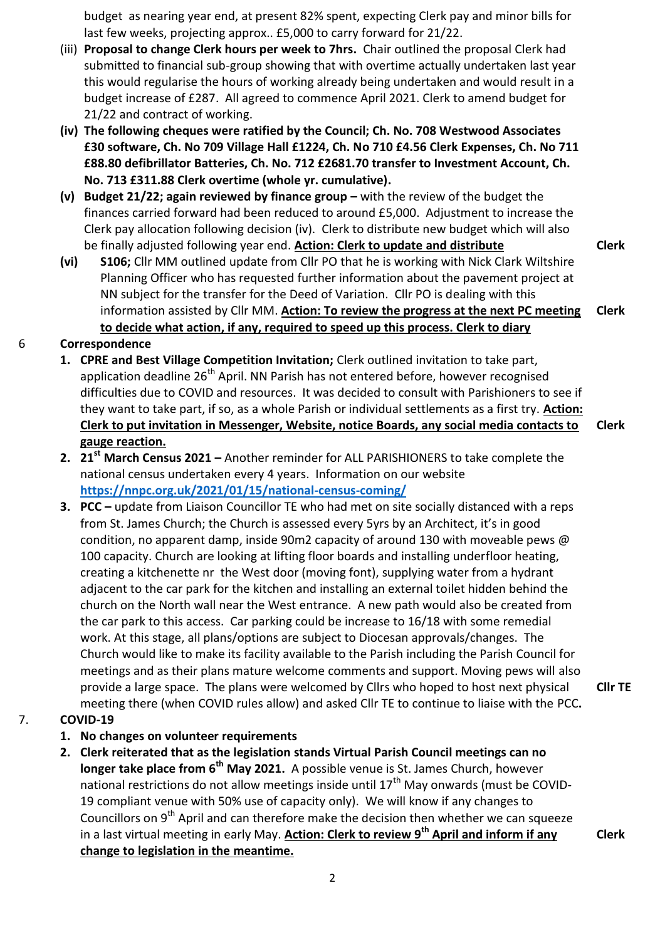budget as nearing year end, at present 82% spent, expecting Clerk pay and minor bills for last few weeks, projecting approx.. £5,000 to carry forward for 21/22.

- (iii) **Proposal to change Clerk hours per week to 7hrs.** Chair outlined the proposal Clerk had submitted to financial sub-group showing that with overtime actually undertaken last year this would regularise the hours of working already being undertaken and would result in a budget increase of £287. All agreed to commence April 2021. Clerk to amend budget for 21/22 and contract of working.
- **(iv) The following cheques were ratified by the Council; Ch. No. 708 Westwood Associates £30 software, Ch. No 709 Village Hall £1224, Ch. No 710 £4.56 Clerk Expenses, Ch. No 711 £88.80 defibrillator Batteries, Ch. No. 712 £2681.70 transfer to Investment Account, Ch. No. 713 £311.88 Clerk overtime (whole yr. cumulative).**
- **(v) Budget 21/22; again reviewed by finance group –** with the review of the budget the finances carried forward had been reduced to around £5,000. Adjustment to increase the Clerk pay allocation following decision (iv). Clerk to distribute new budget which will also be finally adjusted following year end. **Action: Clerk to update and distribute**
- **(vi) S106;** Cllr MM outlined update from Cllr PO that he is working with Nick Clark Wiltshire Planning Officer who has requested further information about the pavement project at NN subject for the transfer for the Deed of Variation. Cllr PO is dealing with this information assisted by Cllr MM. **Action: To review the progress at the next PC meeting to decide what action, if any, required to speed up this process. Clerk to diary Clerk**

#### 6 **Correspondence**

- **1. CPRE and Best Village Competition Invitation;** Clerk outlined invitation to take part, application deadline 26<sup>th</sup> April. NN Parish has not entered before, however recognised difficulties due to COVID and resources. It was decided to consult with Parishioners to see if they want to take part, if so, as a whole Parish or individual settlements as a first try. **Action: Clerk to put invitation in Messenger, Website, notice Boards, any social media contacts to gauge reaction. Clerk**
- **2. 21st March Census 2021 –** Another reminder for ALL PARISHIONERS to take complete the national census undertaken every 4 years. Information on our website **<https://nnpc.org.uk/2021/01/15/national-census-coming/>**
- **3. PCC –** update from Liaison Councillor TE who had met on site socially distanced with a reps from St. James Church; the Church is assessed every 5yrs by an Architect, it's in good condition, no apparent damp, inside 90m2 capacity of around 130 with moveable pews @ 100 capacity. Church are looking at lifting floor boards and installing underfloor heating, creating a kitchenette nr the West door (moving font), supplying water from a hydrant adjacent to the car park for the kitchen and installing an external toilet hidden behind the church on the North wall near the West entrance. A new path would also be created from the car park to this access. Car parking could be increase to 16/18 with some remedial work. At this stage, all plans/options are subject to Diocesan approvals/changes. The Church would like to make its facility available to the Parish including the Parish Council for meetings and as their plans mature welcome comments and support. Moving pews will also provide a large space. The plans were welcomed by Cllrs who hoped to host next physical meeting there (when COVID rules allow) and asked Cllr TE to continue to liaise with the PCC**.**

### 7. **COVID-19**

- **1. No changes on volunteer requirements**
- **2. Clerk reiterated that as the legislation stands Virtual Parish Council meetings can no longer take place from 6th May 2021.** A possible venue is St. James Church, however national restrictions do not allow meetings inside until  $17<sup>th</sup>$  May onwards (must be COVID-19 compliant venue with 50% use of capacity only). We will know if any changes to Councillors on  $9<sup>th</sup>$  April and can therefore make the decision then whether we can squeeze in a last virtual meeting in early May. **Action: Clerk to review 9th April and inform if any change to legislation in the meantime.**

**Clerk**

**Cllr TE**

**Clerk**